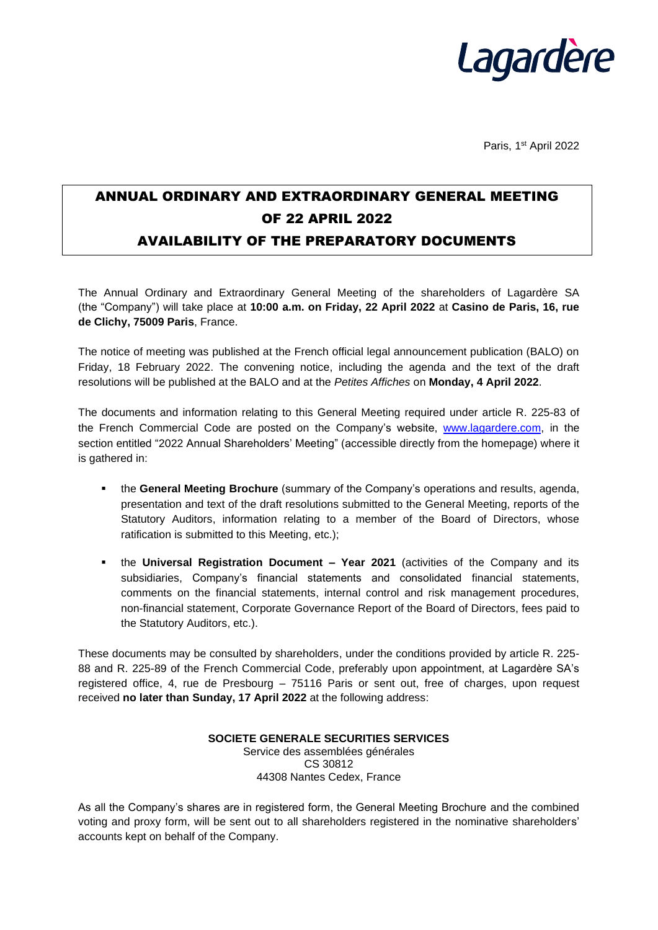

Paris, 1<sup>st</sup> April 2022

## ANNUAL ORDINARY AND EXTRAORDINARY GENERAL MEETING OF 22 APRIL 2022 AVAILABILITY OF THE PREPARATORY DOCUMENTS

The Annual Ordinary and Extraordinary General Meeting of the shareholders of Lagardère SA (the "Company") will take place at **10:00 a.m. on Friday, 22 April 2022** at **Casino de Paris, 16, rue de Clichy, 75009 Paris**, France.

The notice of meeting was published at the French official legal announcement publication (BALO) on Friday, 18 February 2022. The convening notice, including the agenda and the text of the draft resolutions will be published at the BALO and at the *Petites Affiches* on **Monday, 4 April 2022**.

The documents and information relating to this General Meeting required under article R. 225-83 of the French Commercial Code are posted on the Company's website, [www.lagardere.com,](http://www.lagardere.com/) in the section entitled "2022 Annual Shareholders' Meeting" (accessible directly from the homepage) where it is gathered in:

- **. the General Meeting Brochure** (summary of the Company's operations and results, agenda, presentation and text of the draft resolutions submitted to the General Meeting, reports of the Statutory Auditors, information relating to a member of the Board of Directors, whose ratification is submitted to this Meeting, etc.);
- the **Universal Registration Document – Year 2021** (activities of the Company and its subsidiaries, Company's financial statements and consolidated financial statements, comments on the financial statements, internal control and risk management procedures, non-financial statement, Corporate Governance Report of the Board of Directors, fees paid to the Statutory Auditors, etc.).

These documents may be consulted by shareholders, under the conditions provided by article R. 225- 88 and R. 225-89 of the French Commercial Code, preferably upon appointment, at Lagardère SA's registered office, 4, rue de Presbourg – 75116 Paris or sent out, free of charges, upon request received **no later than Sunday, 17 April 2022** at the following address:

> **SOCIETE GENERALE SECURITIES SERVICES** Service des assemblées générales CS 30812 44308 Nantes Cedex, France

As all the Company's shares are in registered form, the General Meeting Brochure and the combined voting and proxy form, will be sent out to all shareholders registered in the nominative shareholders' accounts kept on behalf of the Company.